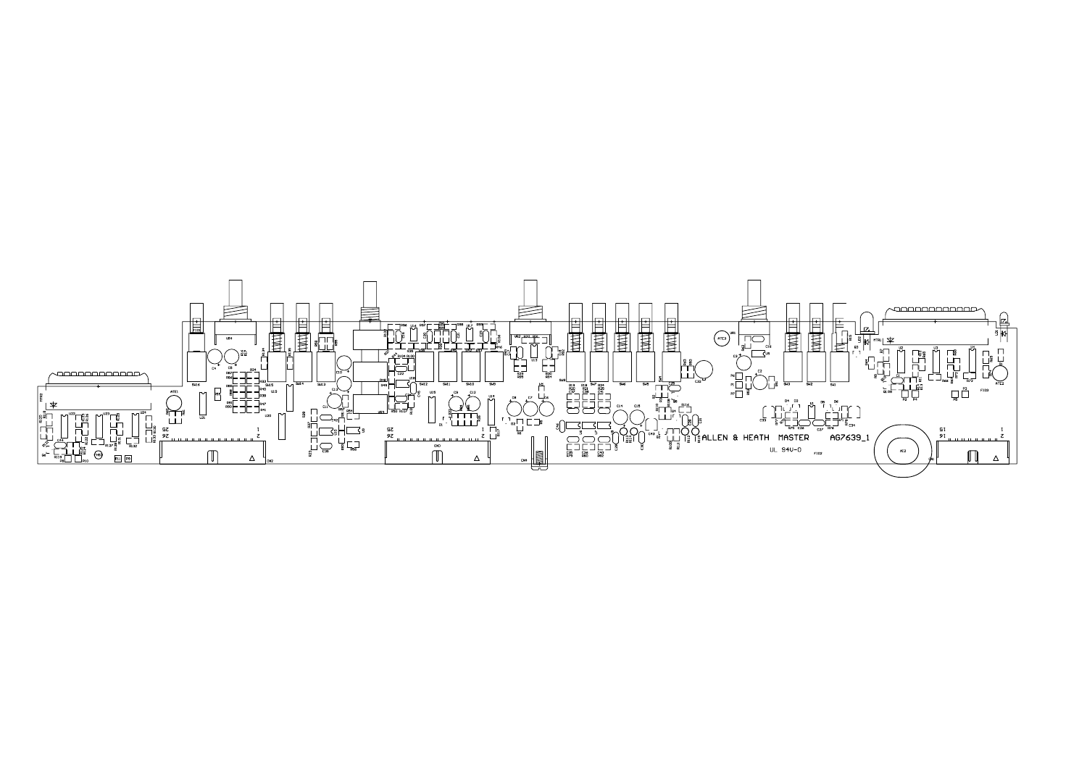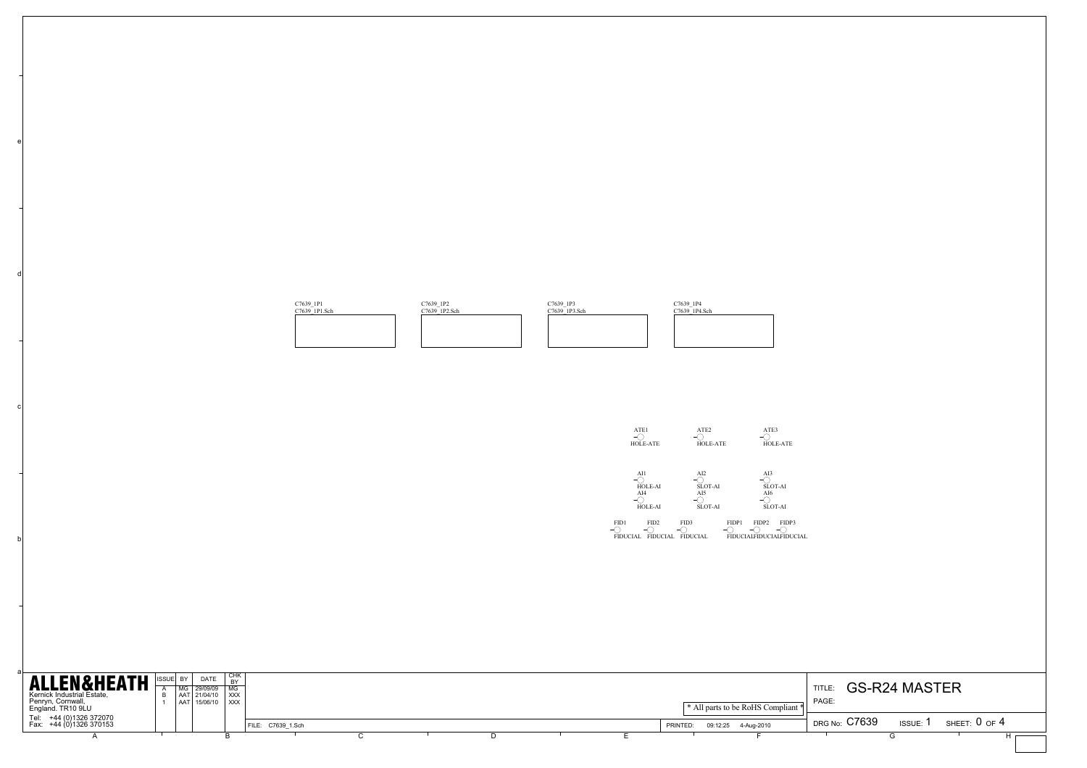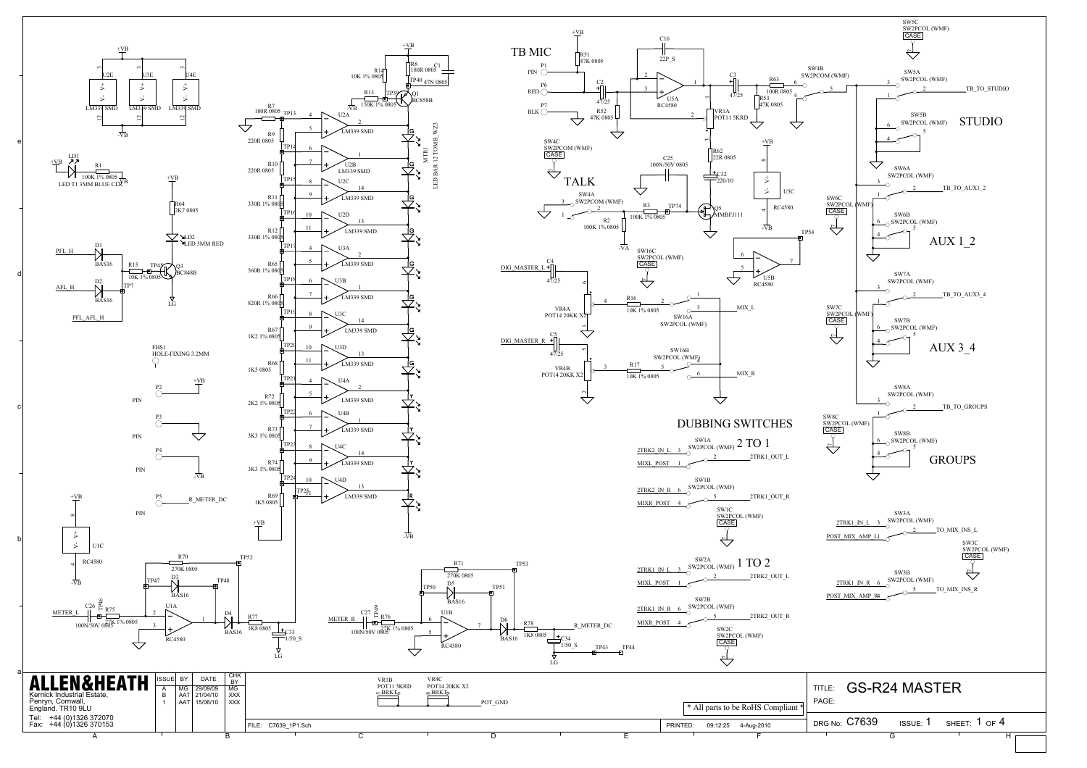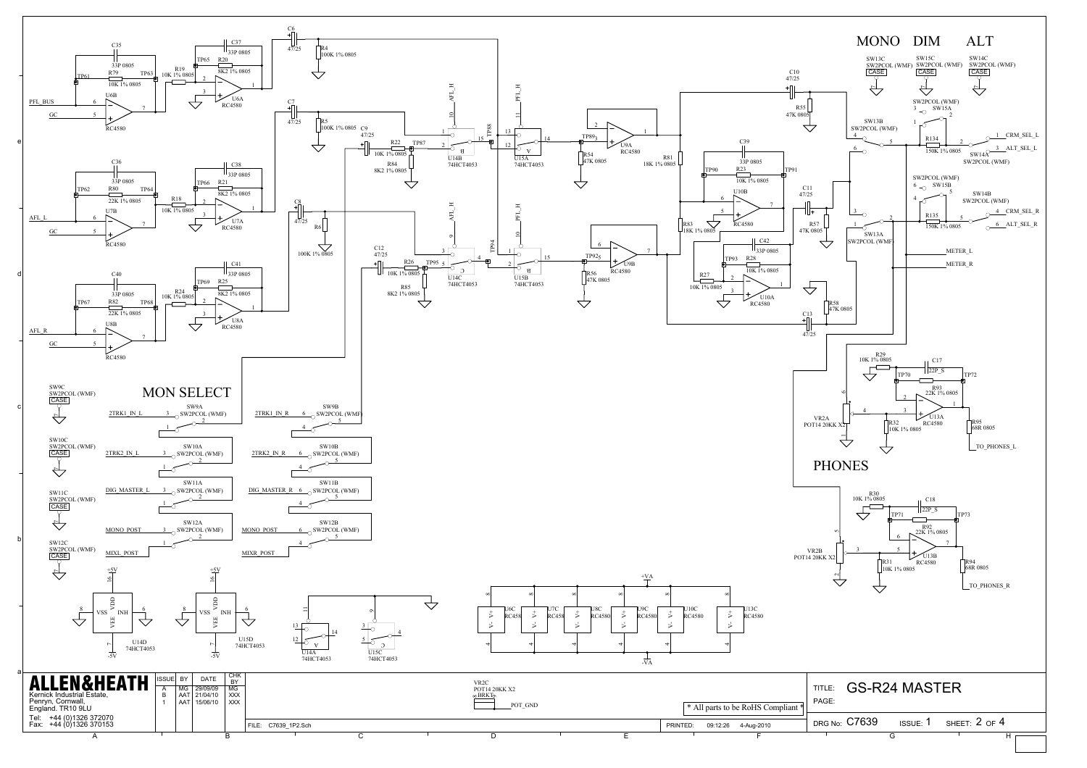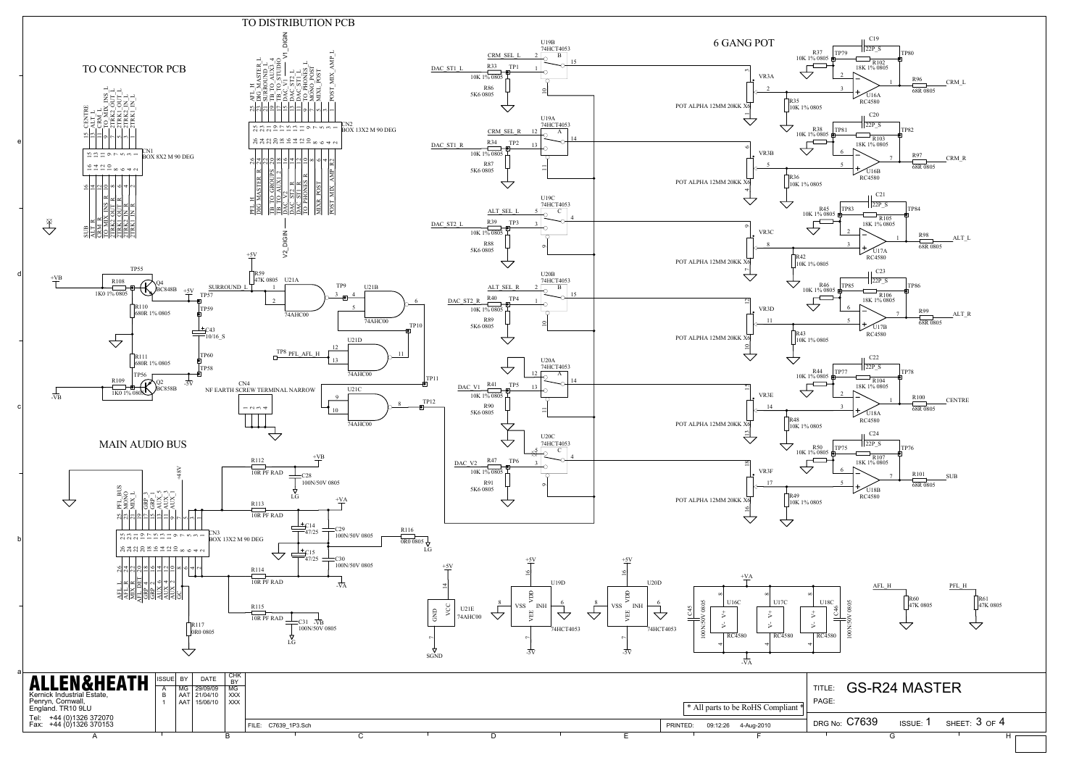